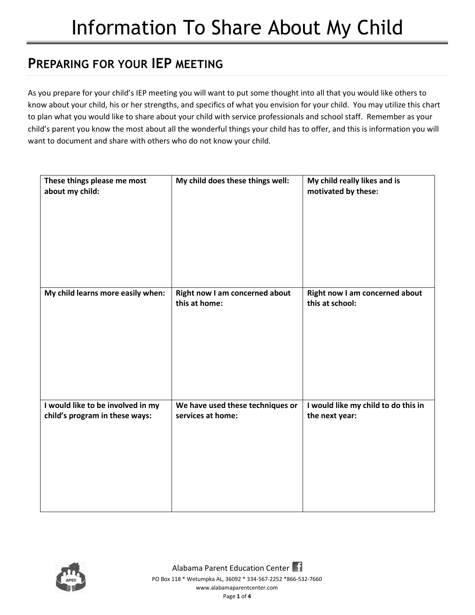## **PREPARING FOR YOUR IEP MEETING**

As you prepare for your child's IEP meeting you will want to put some thought into all that you would like others to know about your child, his or her strengths, and specifics of what you envision for your child. You may utilize this chart to plan what you would like to share about your child with service professionals and school staff. Remember as your child's parent you know the most about all the wonderful things your child has to offer, and this is information you will want to document and share with others who do not know your child.

| These things please me most<br>about my child:                      | My child does these things well:                      | My child really likes and is<br>motivated by these:   |
|---------------------------------------------------------------------|-------------------------------------------------------|-------------------------------------------------------|
| My child learns more easily when:                                   | Right now I am concerned about<br>this at home:       | Right now I am concerned about<br>this at school:     |
| I would like to be involved in my<br>child's program in these ways: | We have used these techniques or<br>services at home: | I would like my child to do this in<br>the next year: |

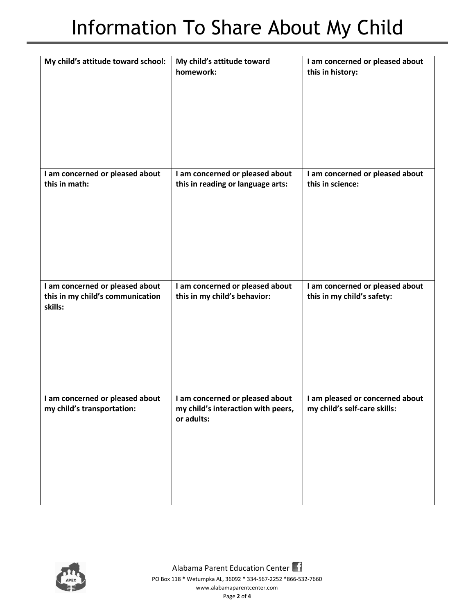## Information To Share About My Child

| My child's attitude toward school:                                             | My child's attitude toward<br>homework:                                             | I am concerned or pleased about<br>this in history:             |
|--------------------------------------------------------------------------------|-------------------------------------------------------------------------------------|-----------------------------------------------------------------|
| I am concerned or pleased about<br>this in math:                               | I am concerned or pleased about<br>this in reading or language arts:                | I am concerned or pleased about<br>this in science:             |
| I am concerned or pleased about<br>this in my child's communication<br>skills: | I am concerned or pleased about<br>this in my child's behavior:                     | I am concerned or pleased about<br>this in my child's safety:   |
| I am concerned or pleased about<br>my child's transportation:                  | I am concerned or pleased about<br>my child's interaction with peers,<br>or adults: | I am pleased or concerned about<br>my child's self-care skills: |

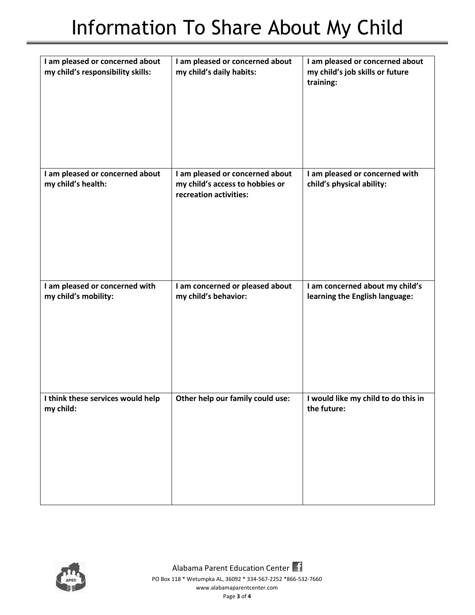| I am pleased or concerned about<br>my child's responsibility skills: | I am pleased or concerned about<br>my child's daily habits:                                  | I am pleased or concerned about<br>my child's job skills or future<br>training: |
|----------------------------------------------------------------------|----------------------------------------------------------------------------------------------|---------------------------------------------------------------------------------|
| I am pleased or concerned about<br>my child's health:                | I am pleased or concerned about<br>my child's access to hobbies or<br>recreation activities: | I am pleased or concerned with<br>child's physical ability:                     |
| I am pleased or concerned with<br>my child's mobility:               | I am concerned or pleased about<br>my child's behavior:                                      | I am concerned about my child's<br>learning the English language:               |
| I think these services would help<br>my child:                       | Other help our family could use:                                                             | I would like my child to do this in<br>the future:                              |